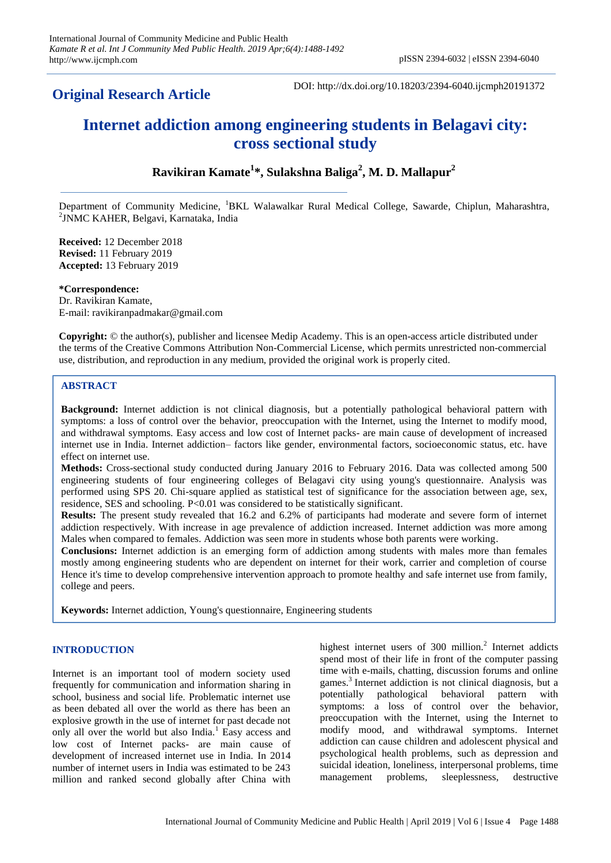# **Original Research Article**

DOI: http://dx.doi.org/10.18203/2394-6040.ijcmph20191372

# **Internet addiction among engineering students in Belagavi city: cross sectional study**

# **Ravikiran Kamate<sup>1</sup> \*, Sulakshna Baliga<sup>2</sup> , M. D. Mallapur<sup>2</sup>**

Department of Community Medicine, <sup>1</sup>BKL Walawalkar Rural Medical College, Sawarde, Chiplun, Maharashtra, 2 JNMC KAHER, Belgavi, Karnataka, India

**Received:** 12 December 2018 **Revised:** 11 February 2019 **Accepted:** 13 February 2019

**\*Correspondence:** Dr. Ravikiran Kamate, E-mail: ravikiranpadmakar@gmail.com

**Copyright:** © the author(s), publisher and licensee Medip Academy. This is an open-access article distributed under the terms of the Creative Commons Attribution Non-Commercial License, which permits unrestricted non-commercial use, distribution, and reproduction in any medium, provided the original work is properly cited.

## **ABSTRACT**

**Background:** Internet addiction is not clinical diagnosis, but a potentially pathological behavioral pattern with symptoms: a loss of control over the behavior, preoccupation with the Internet, using the Internet to modify mood, and withdrawal symptoms. Easy access and low cost of Internet packs- are main cause of development of increased internet use in India. Internet addiction– factors like gender, environmental factors, socioeconomic status, etc. have effect on internet use.

**Methods:** Cross-sectional study conducted during January 2016 to February 2016. Data was collected among 500 engineering students of four engineering colleges of Belagavi city using young's questionnaire. Analysis was performed using SPS 20. Chi-square applied as statistical test of significance for the association between age, sex, residence, SES and schooling. P<0.01 was considered to be statistically significant.

**Results:** The present study revealed that 16.2 and 6.2% of participants had moderate and severe form of internet addiction respectively. With increase in age prevalence of addiction increased. Internet addiction was more among Males when compared to females. Addiction was seen more in students whose both parents were working.

**Conclusions:** Internet addiction is an emerging form of addiction among students with males more than females mostly among engineering students who are dependent on internet for their work, carrier and completion of course Hence it's time to develop comprehensive intervention approach to promote healthy and safe internet use from family, college and peers.

**Keywords:** Internet addiction, Young's questionnaire, Engineering students

#### **INTRODUCTION**

Internet is an important tool of modern society used frequently for communication and information sharing in school, business and social life. Problematic internet use as been debated all over the world as there has been an explosive growth in the use of internet for past decade not only all over the world but also India.<sup>1</sup> Easy access and low cost of Internet packs- are main cause of development of increased internet use in India. In 2014 number of internet users in India was estimated to be 243 million and ranked second globally after China with

highest internet users of 300 million.<sup>2</sup> Internet addicts spend most of their life in front of the computer passing time with e-mails, chatting, discussion forums and online games.<sup>3</sup>Internet addiction is not clinical diagnosis, but a potentially pathological behavioral pattern with symptoms: a loss of control over the behavior, preoccupation with the Internet, using the Internet to modify mood, and withdrawal symptoms. Internet addiction can cause children and adolescent physical and psychological health problems, such as depression and suicidal ideation, loneliness, interpersonal problems, time management problems, sleeplessness, destructive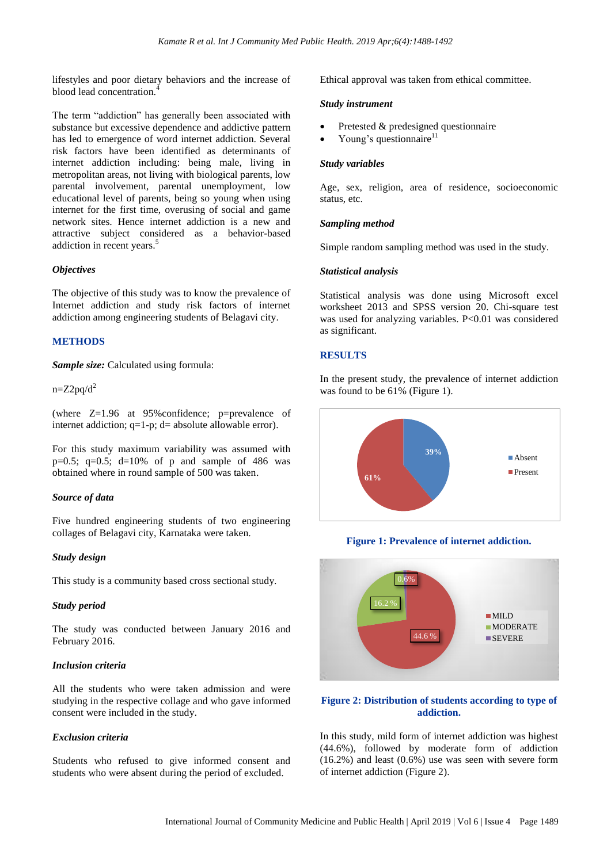lifestyles and poor dietary behaviors and the increase of blood lead concentration.<sup>4</sup>

The term "addiction" has generally been associated with substance but excessive dependence and addictive pattern has led to emergence of word internet addiction. Several risk factors have been identified as determinants of internet addiction including: being male, living in metropolitan areas, not living with biological parents, low parental involvement, parental unemployment, low educational level of parents, being so young when using internet for the first time, overusing of social and game network sites. Hence internet addiction is a new and attractive subject considered as a behavior-based addiction in recent years.<sup>5</sup>

#### *Objectives*

The objective of this study was to know the prevalence of Internet addiction and study risk factors of internet addiction among engineering students of Belagavi city.

#### **METHODS**

*Sample size:* Calculated using formula:

 $n=Z2pq/d^2$ 

(where Z=1.96 at 95%confidence; p=prevalence of internet addiction;  $q=1-p$ ;  $d=$  absolute allowable error).

For this study maximum variability was assumed with  $p=0.5$ ;  $q=0.5$ ;  $d=10%$  of p and sample of 486 was obtained where in round sample of 500 was taken.

#### *Source of data*

Five hundred engineering students of two engineering collages of Belagavi city, Karnataka were taken.

#### *Study design*

This study is a community based cross sectional study.

#### *Study period*

The study was conducted between January 2016 and February 2016.

#### *Inclusion criteria*

All the students who were taken admission and were studying in the respective collage and who gave informed consent were included in the study.

#### *Exclusion criteria*

Students who refused to give informed consent and students who were absent during the period of excluded.

Ethical approval was taken from ethical committee.

#### *Study instrument*

- Pretested & predesigned questionnaire
- Young's questionnaire $11$

#### *Study variables*

Age, sex, religion, area of residence, socioeconomic status, etc.

#### *Sampling method*

Simple random sampling method was used in the study.

#### *Statistical analysis*

Statistical analysis was done using Microsoft excel worksheet 2013 and SPSS version 20. Chi-square test was used for analyzing variables. P<0.01 was considered as significant.

#### **RESULTS**

In the present study, the prevalence of internet addiction was found to be 61% (Figure 1).



**Figure 1: Prevalence of internet addiction.**



## **Figure 2: Distribution of students according to type of addiction.**

In this study, mild form of internet addiction was highest (44.6%), followed by moderate form of addiction  $(16.2\%)$  and least  $(0.6\%)$  use was seen with severe form of internet addiction (Figure 2).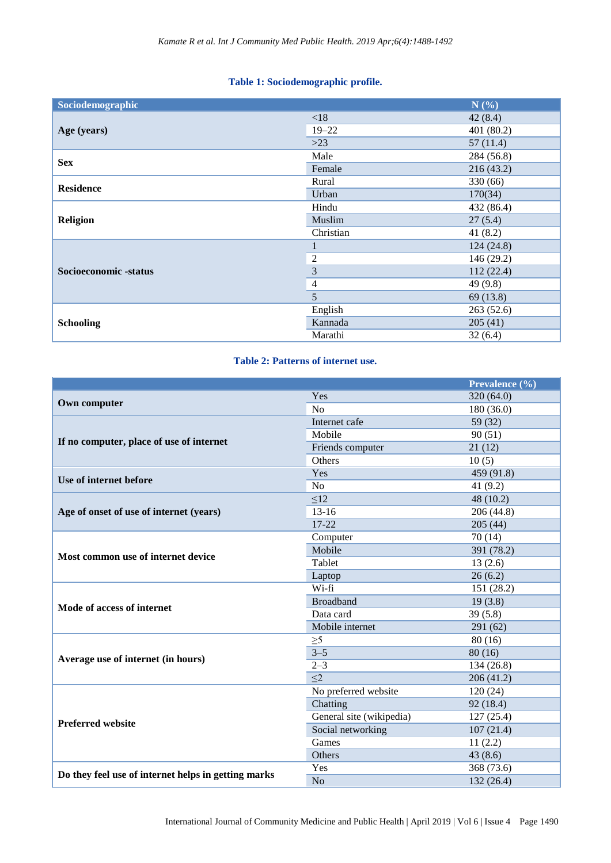# **Table 1: Sociodemographic profile.**

| Sociodemographic      |                | N(%)       |
|-----------------------|----------------|------------|
| Age (years)           | < 18           | 42(8.4)    |
|                       | $19 - 22$      | 401(80.2)  |
|                       | $>23$          | 57(11.4)   |
| <b>Sex</b>            | Male           | 284 (56.8) |
|                       | Female         | 216(43.2)  |
| <b>Residence</b>      | Rural          | 330 (66)   |
|                       | Urban          | 170(34)    |
| <b>Religion</b>       | Hindu          | 432 (86.4) |
|                       | Muslim         | 27(5.4)    |
|                       | Christian      | 41 $(8.2)$ |
| Socioeconomic -status | 1              | 124(24.8)  |
|                       | $\overline{c}$ | 146 (29.2) |
|                       | $\overline{3}$ | 112(22.4)  |
|                       | $\overline{4}$ | 49 $(9.8)$ |
|                       | 5              | 69 (13.8)  |
| <b>Schooling</b>      | English        | 263(52.6)  |
|                       | Kannada        | 205(41)    |
|                       | Marathi        | 32(6.4)    |

# **Table 2: Patterns of internet use.**

|                                                     |                          | Prevalence (%) |  |
|-----------------------------------------------------|--------------------------|----------------|--|
| Own computer                                        | Yes                      | 320 (64.0)     |  |
|                                                     | N <sub>o</sub>           | 180 (36.0)     |  |
|                                                     | Internet cafe            | 59 (32)        |  |
| If no computer, place of use of internet            | Mobile                   | 90(51)         |  |
|                                                     | Friends computer         | 21(12)         |  |
|                                                     | Others                   | 10(5)          |  |
| Use of internet before                              | Yes                      | 459 (91.8)     |  |
|                                                     | N <sub>o</sub>           | 41 $(9.2)$     |  |
| Age of onset of use of internet (years)             | $\leq$ 12                | 48 (10.2)      |  |
|                                                     | $13-16$                  | 206 (44.8)     |  |
|                                                     | 17-22                    | 205(44)        |  |
|                                                     | Computer                 | 70(14)         |  |
|                                                     | Mobile                   | 391 (78.2)     |  |
| Most common use of internet device                  | Tablet                   | 13(2.6)        |  |
|                                                     | Laptop                   | 26(6.2)        |  |
|                                                     | Wi-fi                    | 151 (28.2)     |  |
| Mode of access of internet                          | <b>Broadband</b>         | 19(3.8)        |  |
|                                                     | Data card                | 39(5.8)        |  |
|                                                     | Mobile internet          | 291 (62)       |  |
|                                                     | $\geq 5$                 | 80(16)         |  |
| Average use of internet (in hours)                  | $3 - 5$                  | 80(16)         |  |
|                                                     | $2 - 3$                  | 134 (26.8)     |  |
|                                                     | $\leq$ 2                 | 206(41.2)      |  |
|                                                     | No preferred website     | 120(24)        |  |
|                                                     | Chatting                 | 92 (18.4)      |  |
|                                                     | General site (wikipedia) | 127(25.4)      |  |
| <b>Preferred website</b>                            | Social networking        | 107(21.4)      |  |
|                                                     | Games                    | 11(2.2)        |  |
|                                                     | Others                   | 43(8.6)        |  |
| Do they feel use of internet helps in getting marks | Yes                      | 368 (73.6)     |  |
|                                                     | No                       | 132(26.4)      |  |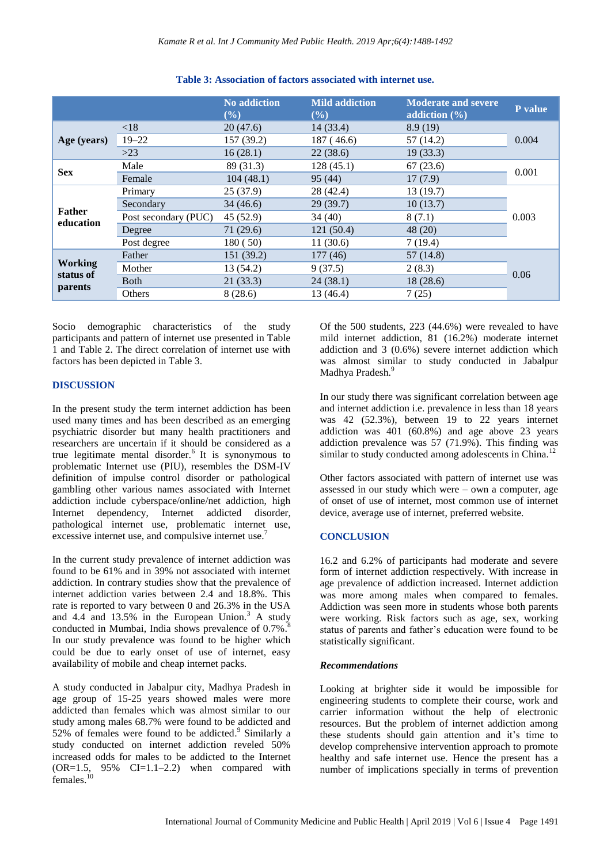|                                        |                      | <b>No addiction</b><br>(%) | <b>Mild addiction</b><br>$($ %) | <b>Moderate and severe</b><br>addiction $(\% )$ | P value |
|----------------------------------------|----------------------|----------------------------|---------------------------------|-------------------------------------------------|---------|
| Age (years)                            | < 18                 | 20(47.6)                   | 14(33.4)                        | 8.9(19)                                         | 0.004   |
|                                        | $19 - 22$            | 157 (39.2)                 | 187(46.6)                       | 57 (14.2)                                       |         |
|                                        | >23                  | 16(28.1)                   | 22(38.6)                        | 19(33.3)                                        |         |
| <b>Sex</b>                             | Male                 | 89 (31.3)                  | 128(45.1)                       | 67(23.6)                                        | 0.001   |
|                                        | Female               | 104(48.1)                  | 95 (44)                         | 17(7.9)                                         |         |
| Father<br>education                    | Primary              | 25(37.9)                   | 28 (42.4)                       | 13(19.7)                                        | 0.003   |
|                                        | Secondary            | 34(46.6)                   | 29(39.7)                        | 10(13.7)                                        |         |
|                                        | Post secondary (PUC) | 45(52.9)                   | 34 (40)                         | 8(7.1)                                          |         |
|                                        | Degree               | 71(29.6)                   | 121(50.4)                       | 48 (20)                                         |         |
|                                        | Post degree          | 180 (50)                   | 11(30.6)                        | 7(19.4)                                         |         |
| <b>Working</b><br>status of<br>parents | Father               | 151 (39.2)                 | 177(46)                         | 57(14.8)                                        | 0.06    |
|                                        | Mother               | 13 (54.2)                  | 9(37.5)                         | 2(8.3)                                          |         |
|                                        | <b>Both</b>          | 21(33.3)                   | 24(38.1)                        | 18(28.6)                                        |         |
|                                        | Others               | 8(28.6)                    | 13 (46.4)                       | 7(25)                                           |         |

#### **Table 3: Association of factors associated with internet use.**

Socio demographic characteristics of the study participants and pattern of internet use presented in Table 1 and Table 2. The direct correlation of internet use with factors has been depicted in Table 3.

#### **DISCUSSION**

In the present study the term internet addiction has been used many times and has been described as an emerging psychiatric disorder but many health practitioners and researchers are uncertain if it should be considered as a true legitimate mental disorder. $6$  It is synonymous to problematic Internet use (PIU), resembles the DSM-IV definition of impulse control disorder or pathological gambling other various names associated with Internet addiction include cyberspace/online/net addiction, high Internet dependency, Internet addicted disorder, pathological internet use, problematic internet use, excessive internet use, and compulsive internet use.<sup>7</sup>

In the current study prevalence of internet addiction was found to be 61% and in 39% not associated with internet addiction. In contrary studies show that the prevalence of internet addiction varies between 2.4 and 18.8%. This rate is reported to vary between 0 and 26.3% in the USA and 4.4 and 13.5% in the European Union. $3 \text{ A study}$ conducted in Mumbai, India shows prevalence of 0.7%.<sup>8</sup> In our study prevalence was found to be higher which could be due to early onset of use of internet, easy availability of mobile and cheap internet packs.

A study conducted in Jabalpur city, Madhya Pradesh in age group of 15-25 years showed males were more addicted than females which was almost similar to our study among males 68.7% were found to be addicted and 52% of females were found to be addicted. 9 Similarly a study conducted on internet addiction reveled 50% increased odds for males to be addicted to the Internet  $(OR=1.5, 95\% \quad CI=1.1-2.2)$  when compared with females.<sup>10</sup>

Of the 500 students, 223 (44.6%) were revealed to have mild internet addiction, 81 (16.2%) moderate internet addiction and 3 (0.6%) severe internet addiction which was almost similar to study conducted in Jabalpur Madhya Pradesh.<sup>9</sup>

In our study there was significant correlation between age and internet addiction i.e. prevalence in less than 18 years was 42 (52.3%), between 19 to 22 years internet addiction was 401 (60.8%) and age above 23 years addiction prevalence was  $57$  (71.9%). This finding was similar to study conducted among adolescents in China.<sup>12</sup>

Other factors associated with pattern of internet use was assessed in our study which were – own a computer, age of onset of use of internet, most common use of internet device, average use of internet, preferred website.

#### **CONCLUSION**

16.2 and 6.2% of participants had moderate and severe form of internet addiction respectively. With increase in age prevalence of addiction increased. Internet addiction was more among males when compared to females. Addiction was seen more in students whose both parents were working. Risk factors such as age, sex, working status of parents and father's education were found to be statistically significant.

#### *Recommendations*

Looking at brighter side it would be impossible for engineering students to complete their course, work and carrier information without the help of electronic resources. But the problem of internet addiction among these students should gain attention and it's time to develop comprehensive intervention approach to promote healthy and safe internet use. Hence the present has a number of implications specially in terms of prevention